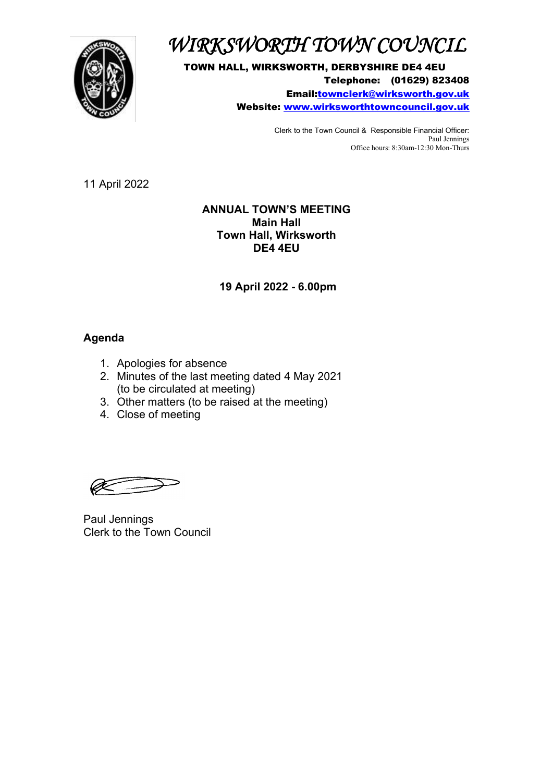

## *WIRKSWORTH TOWN COUNCIL*

TOWN HALL, WIRKSWORTH, DERBYSHIRE DE4 4EU Telephone: (01629) 823408 Email[:townclerk@wirksworth.gov.uk](mailto:townclerk@wirksworth.gov.uk) Website: [www.wirksworthtowncouncil.gov.uk](http://www.wirksworthtowncouncil.gov.uk/)

> Clerk to the Town Council & Responsible Financial Officer: Paul Jennings Office hours: 8:30am-12:30 Mon-Thurs

11 April 2022

#### **ANNUAL TOWN'S MEETING Main Hall Town Hall, Wirksworth DE4 4EU**

**19 April 2022 - 6.00pm**

### **Agenda**

- 1. Apologies for absence
- 2. Minutes of the last meeting dated 4 May 2021 (to be circulated at meeting)
- 3. Other matters (to be raised at the meeting)
- 4. Close of meeting

Paul Jennings Clerk to the Town Council